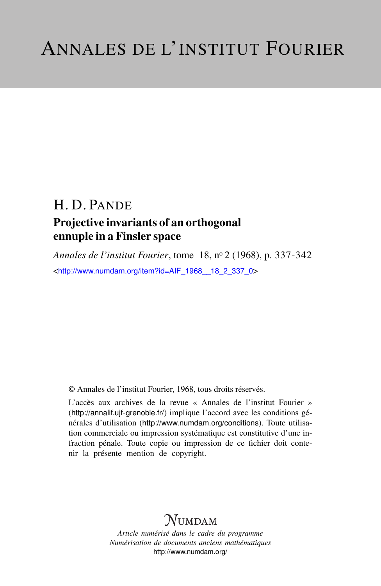## H. D. PANDE Projective invariants of an orthogonal ennuple in a Finsler space

*Annales de l'institut Fourier*, tome 18, n<sup>o</sup> 2 (1968), p. 337-342 <[http://www.numdam.org/item?id=AIF\\_1968\\_\\_18\\_2\\_337\\_0](http://www.numdam.org/item?id=AIF_1968__18_2_337_0)>

© Annales de l'institut Fourier, 1968, tous droits réservés.

L'accès aux archives de la revue « Annales de l'institut Fourier » (<http://annalif.ujf-grenoble.fr/>) implique l'accord avec les conditions générales d'utilisation (<http://www.numdam.org/conditions>). Toute utilisation commerciale ou impression systématique est constitutive d'une infraction pénale. Toute copie ou impression de ce fichier doit contenir la présente mention de copyright.

# NUMDAM

*Article numérisé dans le cadre du programme Numérisation de documents anciens mathématiques* <http://www.numdam.org/>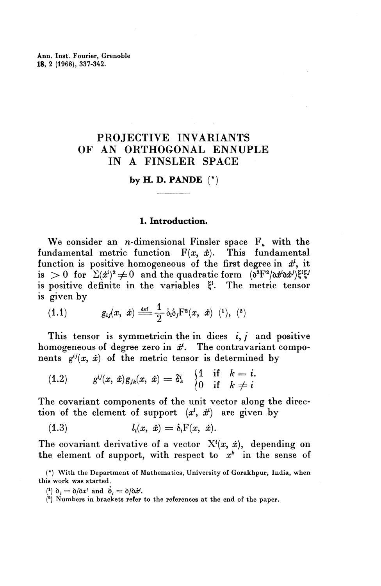Ann. Inst. Fourier, Grenoble **18,** 2 (1968), 337-342.

### PROJECTIVE INVARIANTS OF AN ORTHOGONAL ENNUPLE IN A FINSLER SPACE

#### **by H. D. PANDE** (\*)

#### **1. Introduction.**

We consider an *n*-dimensional Finsler space  $F_n$  with the ndamental metric function  $F(x, \dot{x})$ . This fundamental fundamental metric function  $F(x, \dot{x})$ . function is positive homogeneous of the first degree in  $\dot{x}^i$ , it is  $>0$  for  $\sum (\dot{x}^i)^2 \neq 0$  and the quadratic form  $(\delta^2F^2/\delta \dot{x}^i \delta \dot{x}^j) \xi^i \xi^j$ is positive definite in the variables ^<sup>l</sup> . The metric tensor is given by

(1.1) 
$$
g_{ij}(x, \dot{x}) \stackrel{\text{def}}{=} \frac{1}{2} \dot{\delta}_i \dot{\delta}_j F^2(x, \dot{x}) \ \ (^1), \ (^2)
$$

This tensor is symmetricin the in dices  $i, j$  and positive homogeneous of degree zero in  $\dot{x}$ . The contravariant compo-

nents 
$$
g^{ij}(x, \dot{x})
$$
 of the metric tensor is determined by  
\n(1.2)  $g^{ij}(x, \dot{x})g_{jk}(x, \dot{x}) = \delta^i_k \begin{cases} 1 & \text{if } k = i. \\ 0 & \text{if } k \neq i \end{cases}$ 

The covariant components of the unit vector along the direction of the element of support  $(x^{i}, x^{i})$  are given by

(1.3) 
$$
l_i(x, \dot{x}) = \dot{\delta}_i F(x, \dot{x}).
$$

The covariant derivative of a vector  $X^i(x, \dot{x})$ , depending on the element of support, with respect to  $x^k$  in the sense of

(\*) With the Department of Mathematics, University of Gorakhpur, India, when this work was started.

 $(1)$   $\delta_i = \delta/\delta x^i$  and  $\delta_i = \delta/\delta x^i$ .

<sup>(2)</sup> Numbers in brackets refer to the references at the end of the paper.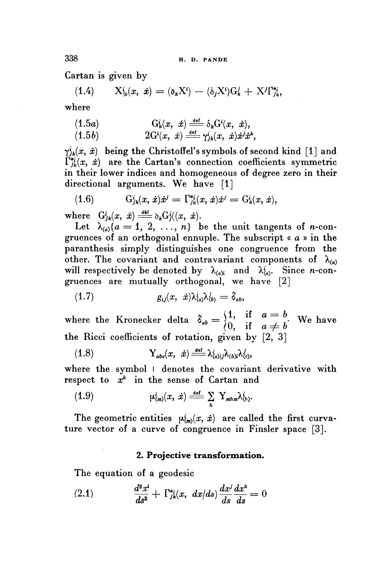**338 H. D. PANDE**

Cartan is given by

$$
\begin{aligned}\n\text{rtan is given by} \\
(1.4) \qquad X^i_{\vert k}(x, \dot{x}) &= (\delta_k X^i) - (\dot{\delta}_j X^i) G^j_k + X^j \Gamma^{*i}_{jk},\n\end{aligned}
$$

**where**

here  
\n
$$
(1.5a) \tG'_{k}(x, \dot{x}) \frac{def}{=} \delta_{k}G^{i}(x, \dot{x}),
$$

(1.5*a*) 
$$
G_k^i(x, \dot{x}) \stackrel{\text{def}}{=} \delta_k G^i(x, \dot{x}),
$$

$$
(1.5b) \qquad 2G^i(x, \dot{x}) \stackrel{\text{def}}{=} \gamma^i_{jk}(x, \dot{x}) \dot{x}^j \dot{x}^k,
$$

 $\gamma_{jk}^i(x, \dot{x})$  being the Christoffel's symbols of second kind [1] and  $\Gamma_{ik}^{*i}(x, x)$  are the Cartan's connection coefficients symmetric in their lower indices and homogeneous of degree zero in their directional arguments. We have [1]

(1.6) 
$$
G_{jk}^{i}(x, \dot{x})\dot{x}^{j} = \Gamma_{jk}^{*i}(x, \dot{x})\dot{x}^{j} = G_{k}^{i}(x, \dot{x}),
$$

where  $G^{i}_{jk}(x, \dot{x}) \stackrel{\text{def}}{=} \delta_k G^{i}_{j}((x, \dot{x}).$ 

Let  $\lambda_{\alpha}$   $\{a = 1, 2, \ldots, n\}$  be the unit tangents of *n*-congruences of an orthogonal ennuple. The subscript « *a* » in the paranthesis simply distinguishes one congruence from the other. The covariant and contravariant components of  $\lambda_{(a)}$ will respectively be denoted by  $\lambda_{(a)i}$  and  $\lambda_{(a)}^i$ . Since *n*-congruences are mutually orthogonal, we have [2]<br>
(1.7)  $g_{ij}(x, \dot{x})\lambda^i_{\langle a \rangle}\lambda^j_{\langle b \rangle} = \delta_{ab}$ ,

$$
(1.7) \t g_{ij}(x, \dot{x}) \lambda_{(a)}^i \lambda_{(b)}^j = \delta_{ab},
$$

where the Kronecker delta  $\delta_{ab} = \begin{cases} 1, & \text{if } a = b \\ 0, & \text{if } a \neq b \end{cases}$ . We have the Ricci coefficients of rotation, given by  $[2, 3]$ 

(1.8) 
$$
Y_{abc}(x, \dot{x}) \stackrel{\text{def}}{=} \lambda^i_{(a)|j} \lambda_{(b)i} \lambda^j_{(c)},
$$

where the symbol I denotes the covariant derivative with

respect to 
$$
x^k
$$
 in the sense of Cartan and  
\n(1.9)  $\mu_{(m)}^i(x, \dot{x}) \stackrel{\text{def}}{=\!\!=} \sum_h Y_{mhm} \lambda_{(h)}^i$ .

The geometric entities  $\mu_{(m)}^i(x, \dot{x})$  are called the first curvature vector of a curve of congruence in Finsler space [3].

#### **2. Projective transformation.**

The equation of a geodesic

(2.1) 
$$
\frac{d^2x^i}{ds^2} + \Gamma_{jk}^{*i}(x, dx/ds) \frac{dx^j}{ds} \frac{dx^k}{ds} = 0
$$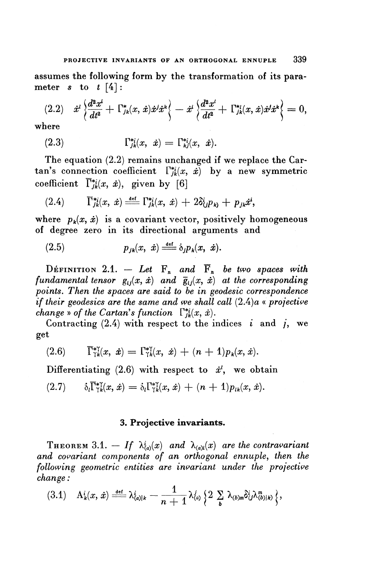assumes the following form by the transformation of its parameter  $s$  to  $t \lceil 4 \rceil$ :

$$
(2.2) \quad \dot{x}^{l} \left\{ \frac{d^{2}x^{i}}{dt^{2}} + \Gamma_{jk}^{*}(x, \dot{x})\dot{x}^{j}\dot{x}^{k} \right\} - \dot{x}^{i} \left\{ \frac{d^{2}x^{l}}{dt^{2}} + \Gamma_{jk}^{*}(x, \dot{x})\dot{x}^{j}\dot{x}^{k} \right\} = 0,
$$

where

(2.3) 
$$
\Gamma_{jk}^{*i}(x, \ \dot{x}) = \Gamma_{kj}^{*i}(x, \ \dot{x}).
$$

The equation (2.2) remains unchanged if we replace the Cartan's connection coefficient  $\Gamma_{ik}^{*i}(x, \dot{x})$  by a new symmetric coefficient  $\overline{\Gamma}_{ik}^{*i}(x, \dot{x})$ , given by [6]

$$
(2.4) \qquad \overline{\Gamma}^{*i}_{jk}(x,\ \dot{x}) \stackrel{\text{def}}{\equiv} \Gamma^{*i}_{jk}(x,\ \dot{x}) + 2\delta^i_{(j}p_{kj} + p_{jk}\dot{x}^i,
$$

where  $p_k(x, \dot{x})$  is a covariant vector, positively homogeneous of degree zero in its directional arguments and

$$
(2.5) \t\t p_{jk}(x, \dot{x}) \stackrel{\text{def}}{=} \dot{\delta}_j p_k(x, \dot{x}).
$$

DEFINITION 2.1.  $-$  Let  $F_n$  and  $\overline{F}_n$  be two spaces with *fundamental tensor*  $g_{ij}(x, \dot{x})$  *and*  $\bar{g}_{ij}(x, \dot{x})$  *at the corresponding points. Then the spaces are said to be in geodesic correspondence if their geodesics are the same and we shall call*  $(2.4)a$  *« projective change* » of the Cartan's function  $\int_{ik}^{*}(x, \dot{x})$ .

Contracting  $(2.4)$  with respect to the indices i and i, we get

(2.6) 
$$
\overline{\Gamma}_{\gamma k}^{*\gamma}(x, \dot{x}) = \Gamma_{\gamma k}^{*\gamma}(x, \dot{x}) + (n+1)p_k(x, \dot{x}).
$$

Differentiating  $(2.6)$  with respect to  $\dot{x}$ <sup>*i*</sup>, we obtain

$$
(2.7) \qquad \dot{\delta}_l \overline{\Gamma}_{\gamma k}^{* \gamma}(x,\dot{x}) = \dot{\delta}_l \Gamma_{\gamma k}^{* \gamma}(x,\dot{x}) + (n+1) p_{lk}(x,\dot{x}).
$$

#### **3. Projective invariants.**

THEOREM 3.1.  $-If \lambda^i_{(a)}(x)$  and  $\lambda_{(a)i}(x)$  are the contravariant *and covariant components of an orthogonal ennuple, then the following geometric entities are invariant under the projective change:*

$$
\text{angle:} \\ \text{(3.1)} \quad \mathbf{A}_k^i(x,\,\dot{x}) \stackrel{\text{def}}{\equiv} \lambda_{\{a\}|k}^i - \frac{1}{n+1} \lambda_{\{a\}}^j \left\{ 2 \sum_b \lambda_{(b)m} \delta_{ij}^i \lambda_{(b)|k}^m \right\},
$$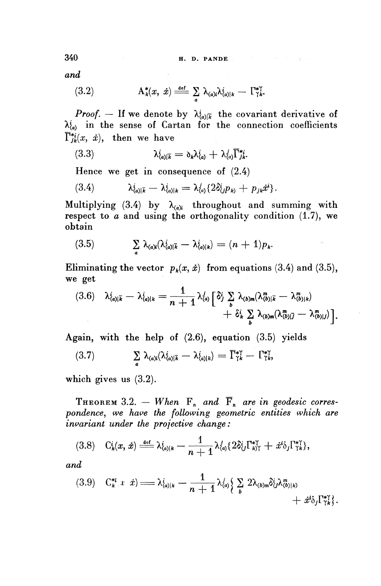*and*

(3.2) 
$$
\mathbf{A}_{k}^{*}(x, \dot{x}) \stackrel{\text{def}}{=\!\!=} \sum_{a} \lambda_{(a)i} \lambda_{(a)|k}^{i} - \Gamma_{\gamma k}^{*}.
$$

*Proof.* – If we denote by  $\lambda_{\{\alpha\} \vert \overline{k}}^i$  the covariant derivative of  $\lambda^i_{(a)}$  in the sense of Cartan for the connection coefficients<br>  $\overline{\Gamma}^{*i}_{jk}(x, \dot{x})$ , then we have<br>
(3.3)  $\lambda^i_{(a)|\overline{k}} = \delta_k \lambda^i_{(a)} + \lambda^j_{(a)} \overline{\Gamma}^{*i}_{jk}$ .  $\overline{\Gamma}_{ik}^{*i}(x, \dot{x})$ , then we have

(3.3) 
$$
\lambda_{(a)\overline{k}}^i = \partial_k \lambda_{(a)}^i + \lambda_{(a)}^j \overline{\Gamma}_{jk}^{*i}.
$$

Hence we get in consequence of (2.4)  
\n
$$
\lambda_{(a)|\bar{k}}^{i} - \lambda_{(a)|k}^{i} = \lambda_{(a)}^{j} \{ 2\delta_{(j}^{i}p_{k)} + p_{jk}\dot{x}^{i} \}.
$$

Multiplying (3.4) by  $\lambda_{(a)i}$  throughout and summing with respect to  $a$  and using the orthogonality condition  $(1.7)$ , we obtain

(3.5) 
$$
\sum_{a} \lambda_{(a)i} (\lambda_{(a)|\bar{k}}^i - \lambda_{(a)|k}^i) = (n+1)p_k.
$$

**Eliminating the vector**  $p_k(x, \dot{x})$  from equations (3.4) and (3.5), **we get**  $\begin{aligned} \mathbf{v} \cdot \mathbf{v} &= \frac{1}{\sqrt{2}} \mathbf{v} \end{aligned}$ 

$$
(3.6) \quad \lambda_{(a)|\bar{k}}^i - \lambda_{(a)|k}^i = \frac{1}{n+1} \lambda_{(a)}^j \left[ \delta_j^i \sum_b \lambda_{(b)m} (\lambda_{(b)|\bar{k}}^m - \lambda_{(b)|k}^m) + \delta_k^i \sum_b \lambda_{(b)m} (\lambda_{(b)|\bar{j}}^m - \lambda_{(b)|j}^m) \right].
$$

Again, with the help of (2.6), equation (3.5) yields  
\n
$$
(3.7) \qquad \sum_{a} \lambda_{(a)i} (\lambda_{(a)|\bar{k}}^i - \lambda_{(a)|k}^i) = \overline{\Gamma}_{1k}^{*\gamma} - \Gamma_{1k}^{*\gamma},
$$

**which gives us** (3.2).

THEOREM 3.2.  $-$  When  $F_n$  and  $\overline{F}_n$  are in geodesic corres*pondence^ we have the following geometric entities which are*

*invariant under the projective change :*  
(3.8) 
$$
C_k^i(x, \dot{x}) \stackrel{\text{def}}{=} \lambda^i_{\langle a \rangle | k} - \frac{1}{n+1} \lambda^j_{\langle a \rangle} \{ 2 \delta^i_{\langle j} \Gamma^*_{\langle k \rangle \langle} + \dot{x}^i \delta_j \Gamma^*_{\gamma \langle k \rangle} \},
$$

*and*

$$
(3.9) \quad C_k^{*i} (x \, \dot{x}) = \lambda_{(a)|k}^i - \frac{1}{n+1} \lambda_{(a)}^j \left\{ \sum_b 2 \lambda_{(b)m} \delta_{(j)}^i \lambda_{(b)|k)}^m + \dot{x}^i \delta_j \Gamma_{\gamma k}^{*i} \right\}.
$$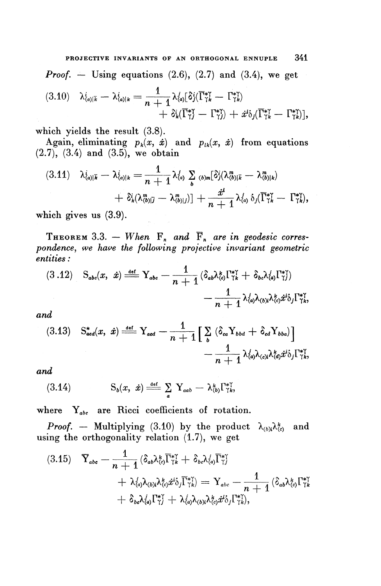**PBOJECTIVE INVARIANTS OF AN ORTHOGONAL ENNUPLE 341** *Proof. —* **Using equations** (2.6), (2.7) **and** (3.4), **we get**  $(3.10) \quad \lambda_{\langle a\rangle | \bar{k}}^i = \lambda_{\langle a\rangle | k}^i = \frac{1}{n+1} \lambda_{\langle a\rangle}^j [\delta_j^i (\overline{\Gamma}_{\gamma k}^{*\gamma} - \Gamma_{\gamma k}^{*\gamma})]$  $\dot{\mathcal{F}} + \delta_k'(\overline{\Gamma}_{\gamma}^{*\gamma} - \Gamma_{\gamma}^{*\gamma}) + \dot{x}^i \delta_i(\overline{\Gamma}_{\gamma}^{*\gamma} - \Gamma_{\gamma}^{*\gamma}).$ 

which yields the result (3.8).

Again, eliminating  $p_k(x, \dot{x})$  and  $p_{lk}(x, \dot{x})$  from equations (2.7), (3.4) **and** (3.5), **we obtain**

$$
(3.11) \quad \lambda_{(a)|\bar{k}}^i - \lambda_{(a)|k}^i = \frac{1}{n+1} \lambda_{(a)}^j \sum_{b}^{j} \sum_{(b)m} [\delta_j^i(\lambda_{(b)|\bar{k}}^m - \lambda_{(b)|k}^m) + \delta_k^i(\lambda_{(b)|\bar{j}}^m - \lambda_{(b)|j}^m)] + \frac{x^i}{n+1} \lambda_{(a)}^j \delta_j(\bar{\Gamma}_{\gamma k}^{*} - \Gamma_{\gamma k}^{*}),
$$

**which gives us** (3.9).

THEOREM 3.3.  $-$  When  $F_n$  and  $\overline{F}_n$  are in geodesic corres*pondence, we have the following projective invariant geometric entities:*

$$
(3.12) \quad S_{abc}(x, \dot{x}) = \frac{1}{n+1} \left( \delta_{ab} \lambda_{c}^k \Gamma_{\gamma k}^{*\gamma} + \delta_{bc} \lambda_{(a)}^i \Gamma_{\gamma}^{*\gamma} \right) \\
 - \frac{1}{n+1} \lambda_{(a)}^j \lambda_{(b)i} \lambda_{(c)}^k \dot{x}^i \delta_j \Gamma_{\gamma k}^{*\gamma},
$$

*and*

$$
(3.13) \quad \mathcal{S}^*_{\mathit{acd}}(x, \dot{x}) \stackrel{\text{def}}{=} \mathcal{Y}_{\mathit{acd}} - \frac{1}{n+1} \Big[ \sum_b \left( \delta_{ca} \mathcal{Y}_{\mathit{bbd}} + \delta_{cd} \mathcal{Y}_{\mathit{bba}} \right) \Big] - \frac{1}{n+1} \lambda^j_{\mathit{da}} \lambda_{\mathit{cbi}} \lambda^k_{\mathit{da}} \dot{x}^i_{\mathit{bj}} \Gamma^*_{\mathit{Yk}},
$$

and

$$
\begin{array}{lll}\n\text{ad} & & \text{S}_{b}(x, \dot{x}) = \frac{\det}{a} \sum_{a} \mathbf{Y}_{aab} - \lambda_{(b)}^k \Gamma_{\gamma k}^{* \gamma}, \\
\text{S}_{b}(x, \dot{x}) = \frac{\det}{a} \sum_{a} \mathbf{Y}_{aab} - \lambda_{(b)}^k \Gamma_{\gamma k}^{* \gamma},\n\end{array}
$$

where  $Y_{abc}$  are Ricci coefficients of rotation.

*Proof.* – Multiplying (3.10) by the product  $\lambda_{(b)i}\lambda_{(c)}^k$  and using the orthogonality relation (1.7), we get

(3.15) 
$$
\overline{Y}_{abc} = \frac{1}{n+1} (\delta_{ab} \lambda_{(c)}^k \overline{\Gamma}_{\gamma k}^{* \gamma} + \delta_{bc} \lambda_{(a)}^j \overline{\Gamma}_{\gamma l}^{* \gamma} + \lambda_{(a)}^j \lambda_{(b)i} \lambda_{(c)}^k \dot{x}^i \delta_j \overline{\Gamma}_{\gamma k}^{* \gamma}) = Y_{abc} - \frac{1}{n+1} (\delta_{ab} \lambda_{(c)}^k \Gamma_{\gamma k}^{* \gamma} + \delta_{bc} \lambda_{(a)}^j \Gamma_{\gamma l}^{* \gamma} + \lambda_{(a)}^j \lambda_{(b)i} \lambda_{(c)}^k \dot{x}^i \delta_j \Gamma_{\gamma k}^{* \gamma}),
$$